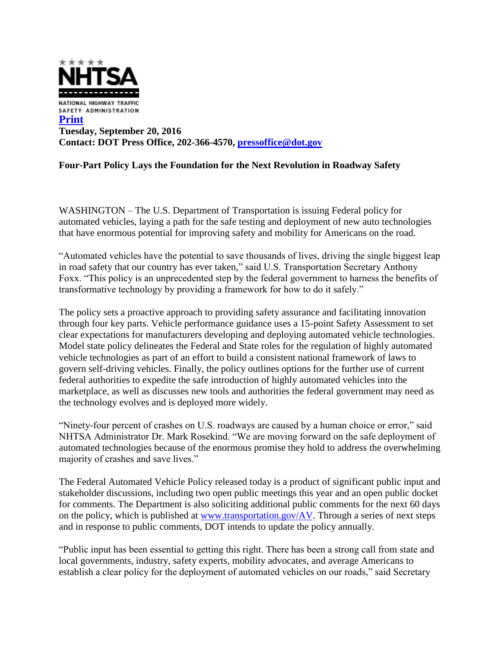

## **Four-Part Policy Lays the Foundation for the Next Revolution in Roadway Safety**

WASHINGTON – The U.S. Department of Transportation is issuing Federal policy for automated vehicles, laying a path for the safe testing and deployment of new auto technologies that have enormous potential for improving safety and mobility for Americans on the road.

"Automated vehicles have the potential to save thousands of lives, driving the single biggest leap in road safety that our country has ever taken," said U.S. Transportation Secretary Anthony Foxx. "This policy is an unprecedented step by the federal government to harness the benefits of transformative technology by providing a framework for how to do it safely."

The policy sets a proactive approach to providing safety assurance and facilitating innovation through four key parts. Vehicle performance guidance uses a 15-point Safety Assessment to set clear expectations for manufacturers developing and deploying automated vehicle technologies. Model state policy delineates the Federal and State roles for the regulation of highly automated vehicle technologies as part of an effort to build a consistent national framework of laws to govern self-driving vehicles. Finally, the policy outlines options for the further use of current federal authorities to expedite the safe introduction of highly automated vehicles into the marketplace, as well as discusses new tools and authorities the federal government may need as the technology evolves and is deployed more widely.

"Ninety-four percent of crashes on U.S. roadways are caused by a human choice or error," said NHTSA Administrator Dr. Mark Rosekind. "We are moving forward on the safe deployment of automated technologies because of the enormous promise they hold to address the overwhelming majority of crashes and save lives."

The Federal Automated Vehicle Policy released today is a product of significant public input and stakeholder discussions, including two open public meetings this year and an open public docket for comments. The Department is also soliciting additional public comments for the next 60 days on the policy, which is published at [www.transportation.gov/AV.](http://www.transportation.gov/AV) Through a series of next steps and in response to public comments, DOT intends to update the policy annually.

"Public input has been essential to getting this right. There has been a strong call from state and local governments, industry, safety experts, mobility advocates, and average Americans to establish a clear policy for the deployment of automated vehicles on our roads," said Secretary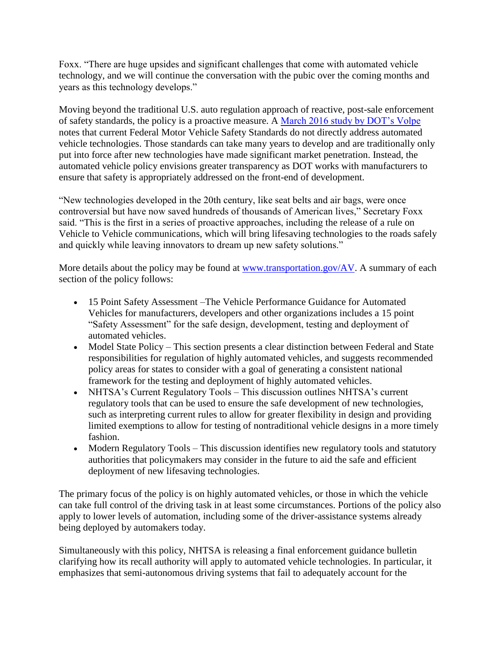Foxx. "There are huge upsides and significant challenges that come with automated vehicle technology, and we will continue the conversation with the pubic over the coming months and years as this technology develops."

Moving beyond the traditional U.S. auto regulation approach of reactive, post-sale enforcement of safety standards, the policy is a proactive measure. A [March 2016 study by DOT's Volpe](http://ntl.bts.gov/lib/57000/57000/57076/Review_FMVSS_AV_Scan.pdf) notes that current Federal Motor Vehicle Safety Standards do not directly address automated vehicle technologies. Those standards can take many years to develop and are traditionally only put into force after new technologies have made significant market penetration. Instead, the automated vehicle policy envisions greater transparency as DOT works with manufacturers to ensure that safety is appropriately addressed on the front-end of development.

"New technologies developed in the 20th century, like seat belts and air bags, were once controversial but have now saved hundreds of thousands of American lives," Secretary Foxx said. "This is the first in a series of proactive approaches, including the release of a rule on Vehicle to Vehicle communications, which will bring lifesaving technologies to the roads safely and quickly while leaving innovators to dream up new safety solutions."

More details about the policy may be found at [www.transportation.gov/AV.](http://www.transportation.gov/AV) A summary of each section of the policy follows:

- 15 Point Safety Assessment –The Vehicle Performance Guidance for Automated Vehicles for manufacturers, developers and other organizations includes a 15 point "Safety Assessment" for the safe design, development, testing and deployment of automated vehicles.
- Model State Policy This section presents a clear distinction between Federal and State responsibilities for regulation of highly automated vehicles, and suggests recommended policy areas for states to consider with a goal of generating a consistent national framework for the testing and deployment of highly automated vehicles.
- NHTSA's Current Regulatory Tools This discussion outlines NHTSA's current regulatory tools that can be used to ensure the safe development of new technologies, such as interpreting current rules to allow for greater flexibility in design and providing limited exemptions to allow for testing of nontraditional vehicle designs in a more timely fashion.
- Modern Regulatory Tools This discussion identifies new regulatory tools and statutory authorities that policymakers may consider in the future to aid the safe and efficient deployment of new lifesaving technologies.

The primary focus of the policy is on highly automated vehicles, or those in which the vehicle can take full control of the driving task in at least some circumstances. Portions of the policy also apply to lower levels of automation, including some of the driver-assistance systems already being deployed by automakers today.

Simultaneously with this policy, NHTSA is releasing a final enforcement guidance bulletin clarifying how its recall authority will apply to automated vehicle technologies. In particular, it emphasizes that semi-autonomous driving systems that fail to adequately account for the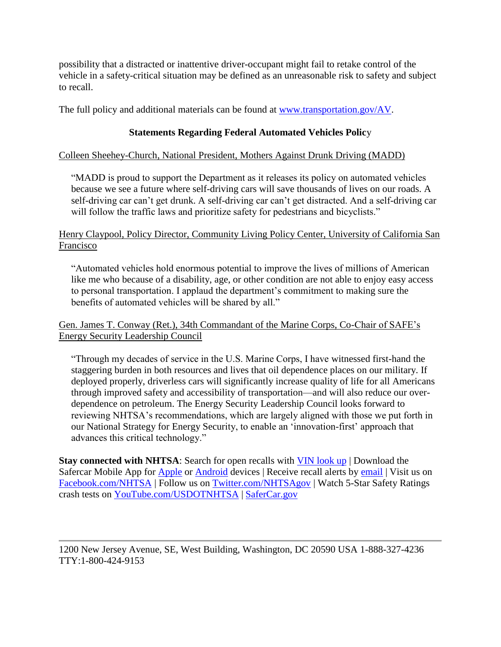possibility that a distracted or inattentive driver-occupant might fail to retake control of the vehicle in a safety-critical situation may be defined as an unreasonable risk to safety and subject to recall.

The full policy and additional materials can be found at [www.transportation.gov/AV.](http://www.transportation.gov/AV)

# **Statements Regarding Federal Automated Vehicles Polic**y

## Colleen Sheehey-Church, National President, Mothers Against Drunk Driving (MADD)

"MADD is proud to support the Department as it releases its policy on automated vehicles because we see a future where self-driving cars will save thousands of lives on our roads. A self-driving car can't get drunk. A self-driving car can't get distracted. And a self-driving car will follow the traffic laws and prioritize safety for pedestrians and bicyclists."

## Henry Claypool, Policy Director, Community Living Policy Center, University of California San Francisco

"Automated vehicles hold enormous potential to improve the lives of millions of American like me who because of a disability, age, or other condition are not able to enjoy easy access to personal transportation. I applaud the department's commitment to making sure the benefits of automated vehicles will be shared by all."

## Gen. James T. Conway (Ret.), 34th Commandant of the Marine Corps, Co-Chair of SAFE's Energy Security Leadership Council

"Through my decades of service in the U.S. Marine Corps, I have witnessed first-hand the staggering burden in both resources and lives that oil dependence places on our military. If deployed properly, driverless cars will significantly increase quality of life for all Americans through improved safety and accessibility of transportation—and will also reduce our overdependence on petroleum. The Energy Security Leadership Council looks forward to reviewing NHTSA's recommendations, which are largely aligned with those we put forth in our National Strategy for Energy Security, to enable an 'innovation-first' approach that advances this critical technology."

**Stay connected with NHTSA**: Search for open recalls with [VIN look up](https://vinrcl.safercar.gov/vin/) | Download the Safercar Mobile App for [Apple](https://itunes.apple.com/us/app/safercar/id593086230?ls=1&mt=8) or [Android](https://play.google.com/store/apps/details?id=gov.nhtsa.safercar&hl=en.) devices | Receive recall alerts by [email](http://www-odi.nhtsa.dot.gov/subscriptions/) | Visit us on [Facebook.com/NHTSA](http://www.facebook.com/NHTSA) | Follow us on [Twitter.com/NHTSAgov](http://www.twitter.com/NHTSAgov) | Watch 5-Star Safety Ratings crash tests on [YouTube.com/USDOTNHTSA](http://www.youtube.com/USDOTNHTSA) | [SaferCar.gov](http://www.safercar.gov/)

1200 New Jersey Avenue, SE, West Building, Washington, DC 20590 USA 1-888-327-4236 TTY:1-800-424-9153